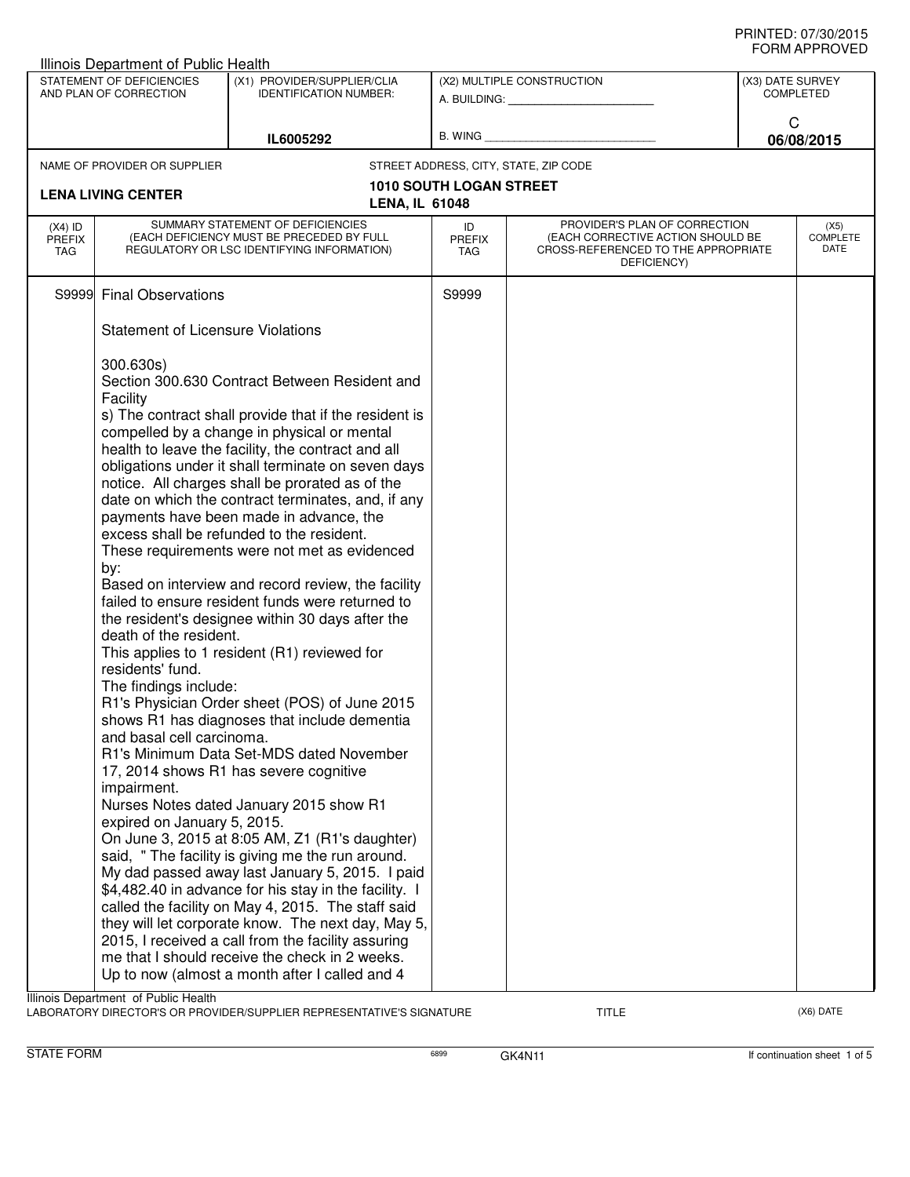|                                                     | <b>Illinois Department of Public Health</b>                                                                                                                                                                                                                                                                                                                                                                                                                                                                                                                                                                                                                                                         |                                                                                                                                                                                                              |                                       |                                                                                                                          |                                                         |                                 |
|-----------------------------------------------------|-----------------------------------------------------------------------------------------------------------------------------------------------------------------------------------------------------------------------------------------------------------------------------------------------------------------------------------------------------------------------------------------------------------------------------------------------------------------------------------------------------------------------------------------------------------------------------------------------------------------------------------------------------------------------------------------------------|--------------------------------------------------------------------------------------------------------------------------------------------------------------------------------------------------------------|---------------------------------------|--------------------------------------------------------------------------------------------------------------------------|---------------------------------------------------------|---------------------------------|
| STATEMENT OF DEFICIENCIES<br>AND PLAN OF CORRECTION |                                                                                                                                                                                                                                                                                                                                                                                                                                                                                                                                                                                                                                                                                                     | (X1) PROVIDER/SUPPLIER/CLIA<br><b>IDENTIFICATION NUMBER:</b>                                                                                                                                                 | (X2) MULTIPLE CONSTRUCTION<br>B. WING |                                                                                                                          | (X3) DATE SURVEY<br><b>COMPLETED</b><br>C<br>06/08/2015 |                                 |
|                                                     |                                                                                                                                                                                                                                                                                                                                                                                                                                                                                                                                                                                                                                                                                                     | IL6005292                                                                                                                                                                                                    |                                       |                                                                                                                          |                                                         |                                 |
|                                                     | NAME OF PROVIDER OR SUPPLIER                                                                                                                                                                                                                                                                                                                                                                                                                                                                                                                                                                                                                                                                        |                                                                                                                                                                                                              |                                       | STREET ADDRESS, CITY, STATE, ZIP CODE                                                                                    |                                                         |                                 |
|                                                     |                                                                                                                                                                                                                                                                                                                                                                                                                                                                                                                                                                                                                                                                                                     |                                                                                                                                                                                                              | <b>1010 SOUTH LOGAN STREET</b>        |                                                                                                                          |                                                         |                                 |
|                                                     | <b>LENA LIVING CENTER</b>                                                                                                                                                                                                                                                                                                                                                                                                                                                                                                                                                                                                                                                                           | <b>LENA, IL 61048</b>                                                                                                                                                                                        |                                       |                                                                                                                          |                                                         |                                 |
| $(X4)$ ID<br>PREFIX<br>TAG                          |                                                                                                                                                                                                                                                                                                                                                                                                                                                                                                                                                                                                                                                                                                     | SUMMARY STATEMENT OF DEFICIENCIES<br>(EACH DEFICIENCY MUST BE PRECEDED BY FULL<br>REGULATORY OR LSC IDENTIFYING INFORMATION)                                                                                 | ID<br><b>PREFIX</b><br>TAG            | PROVIDER'S PLAN OF CORRECTION<br>(EACH CORRECTIVE ACTION SHOULD BE<br>CROSS-REFERENCED TO THE APPROPRIATE<br>DEFICIENCY) |                                                         | (X5)<br><b>COMPLETE</b><br>DATE |
| S9999                                               | <b>Final Observations</b>                                                                                                                                                                                                                                                                                                                                                                                                                                                                                                                                                                                                                                                                           |                                                                                                                                                                                                              | S9999                                 |                                                                                                                          |                                                         |                                 |
|                                                     | <b>Statement of Licensure Violations</b>                                                                                                                                                                                                                                                                                                                                                                                                                                                                                                                                                                                                                                                            |                                                                                                                                                                                                              |                                       |                                                                                                                          |                                                         |                                 |
|                                                     | Section 300.630 Contract Between Resident and<br>Facility<br>s) The contract shall provide that if the resident is<br>compelled by a change in physical or mental<br>health to leave the facility, the contract and all<br>obligations under it shall terminate on seven days<br>notice. All charges shall be prorated as of the<br>date on which the contract terminates, and, if any<br>payments have been made in advance, the<br>excess shall be refunded to the resident.<br>These requirements were not met as evidenced<br>by:<br>Based on interview and record review, the facility<br>failed to ensure resident funds were returned to<br>the resident's designee within 30 days after the |                                                                                                                                                                                                              |                                       |                                                                                                                          |                                                         |                                 |
|                                                     | death of the resident.<br>residents' fund.<br>The findings include:                                                                                                                                                                                                                                                                                                                                                                                                                                                                                                                                                                                                                                 | This applies to 1 resident (R1) reviewed for                                                                                                                                                                 |                                       |                                                                                                                          |                                                         |                                 |
|                                                     | and basal cell carcinoma.                                                                                                                                                                                                                                                                                                                                                                                                                                                                                                                                                                                                                                                                           | R1's Physician Order sheet (POS) of June 2015<br>shows R1 has diagnoses that include dementia<br>R1's Minimum Data Set-MDS dated November                                                                    |                                       |                                                                                                                          |                                                         |                                 |
|                                                     | impairment.                                                                                                                                                                                                                                                                                                                                                                                                                                                                                                                                                                                                                                                                                         | 17, 2014 shows R1 has severe cognitive<br>Nurses Notes dated January 2015 show R1                                                                                                                            |                                       |                                                                                                                          |                                                         |                                 |
|                                                     | expired on January 5, 2015.                                                                                                                                                                                                                                                                                                                                                                                                                                                                                                                                                                                                                                                                         | On June 3, 2015 at 8:05 AM, Z1 (R1's daughter)<br>said, " The facility is giving me the run around.<br>My dad passed away last January 5, 2015. I paid                                                       |                                       |                                                                                                                          |                                                         |                                 |
|                                                     |                                                                                                                                                                                                                                                                                                                                                                                                                                                                                                                                                                                                                                                                                                     | \$4,482.40 in advance for his stay in the facility. I<br>called the facility on May 4, 2015. The staff said                                                                                                  |                                       |                                                                                                                          |                                                         |                                 |
|                                                     |                                                                                                                                                                                                                                                                                                                                                                                                                                                                                                                                                                                                                                                                                                     | they will let corporate know. The next day, May 5,<br>2015, I received a call from the facility assuring<br>me that I should receive the check in 2 weeks.<br>Up to now (almost a month after I called and 4 |                                       |                                                                                                                          |                                                         |                                 |
|                                                     | Illinois Department of Public Health                                                                                                                                                                                                                                                                                                                                                                                                                                                                                                                                                                                                                                                                |                                                                                                                                                                                                              |                                       |                                                                                                                          |                                                         |                                 |

LABORATORY DIRECTOR'S OR PROVIDER/SUPPLIER REPRESENTATIVE'S SIGNATURE TITLE TITLE THE CONSERVATION OF THE CONST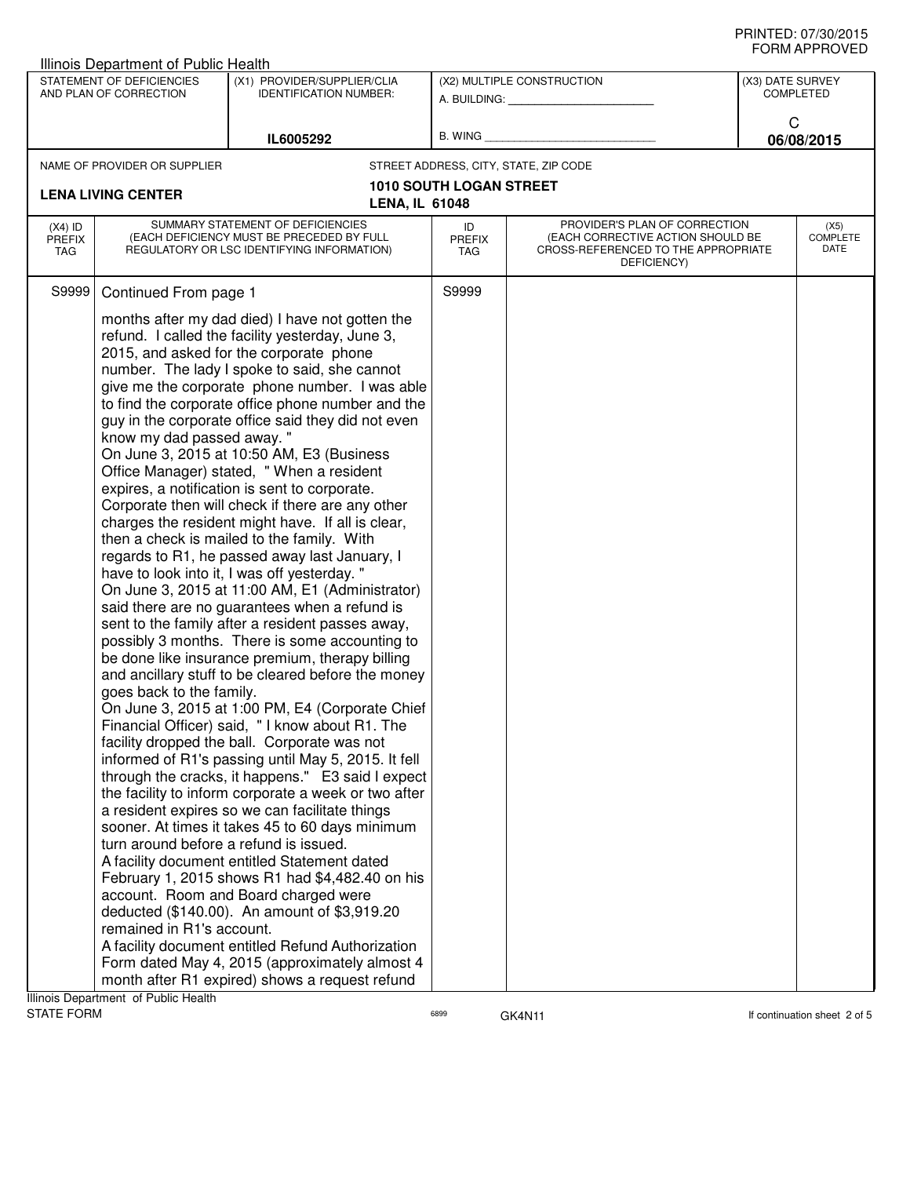## PRINTED: 07/30/2015 FORM APPROVED

|                                                     | Illinois Department of Public Health                                                                                                                                                                                                                                                                                                                                                                                                                                                                                                                                                                                                                                                                                                                                                                                                                                                                                                                                                                                                                                                                                                                                                                                                                                                                                                                                                                                                                                                                                                                                                                                                                                                                                                                                                                                                                                                                                                                                                                                                                                                                                                                                                 |                                                              |                                               |                                                                                                                          |                                      |                                 |
|-----------------------------------------------------|--------------------------------------------------------------------------------------------------------------------------------------------------------------------------------------------------------------------------------------------------------------------------------------------------------------------------------------------------------------------------------------------------------------------------------------------------------------------------------------------------------------------------------------------------------------------------------------------------------------------------------------------------------------------------------------------------------------------------------------------------------------------------------------------------------------------------------------------------------------------------------------------------------------------------------------------------------------------------------------------------------------------------------------------------------------------------------------------------------------------------------------------------------------------------------------------------------------------------------------------------------------------------------------------------------------------------------------------------------------------------------------------------------------------------------------------------------------------------------------------------------------------------------------------------------------------------------------------------------------------------------------------------------------------------------------------------------------------------------------------------------------------------------------------------------------------------------------------------------------------------------------------------------------------------------------------------------------------------------------------------------------------------------------------------------------------------------------------------------------------------------------------------------------------------------------|--------------------------------------------------------------|-----------------------------------------------|--------------------------------------------------------------------------------------------------------------------------|--------------------------------------|---------------------------------|
| STATEMENT OF DEFICIENCIES<br>AND PLAN OF CORRECTION |                                                                                                                                                                                                                                                                                                                                                                                                                                                                                                                                                                                                                                                                                                                                                                                                                                                                                                                                                                                                                                                                                                                                                                                                                                                                                                                                                                                                                                                                                                                                                                                                                                                                                                                                                                                                                                                                                                                                                                                                                                                                                                                                                                                      | (X1) PROVIDER/SUPPLIER/CLIA<br><b>IDENTIFICATION NUMBER:</b> | (X2) MULTIPLE CONSTRUCTION<br>A. BUILDING: A. |                                                                                                                          | (X3) DATE SURVEY<br><b>COMPLETED</b> |                                 |
|                                                     |                                                                                                                                                                                                                                                                                                                                                                                                                                                                                                                                                                                                                                                                                                                                                                                                                                                                                                                                                                                                                                                                                                                                                                                                                                                                                                                                                                                                                                                                                                                                                                                                                                                                                                                                                                                                                                                                                                                                                                                                                                                                                                                                                                                      | IL6005292                                                    | B. WING                                       |                                                                                                                          | C                                    | 06/08/2015                      |
|                                                     | NAME OF PROVIDER OR SUPPLIER                                                                                                                                                                                                                                                                                                                                                                                                                                                                                                                                                                                                                                                                                                                                                                                                                                                                                                                                                                                                                                                                                                                                                                                                                                                                                                                                                                                                                                                                                                                                                                                                                                                                                                                                                                                                                                                                                                                                                                                                                                                                                                                                                         |                                                              |                                               | STREET ADDRESS, CITY, STATE, ZIP CODE                                                                                    |                                      |                                 |
|                                                     | <b>LENA LIVING CENTER</b>                                                                                                                                                                                                                                                                                                                                                                                                                                                                                                                                                                                                                                                                                                                                                                                                                                                                                                                                                                                                                                                                                                                                                                                                                                                                                                                                                                                                                                                                                                                                                                                                                                                                                                                                                                                                                                                                                                                                                                                                                                                                                                                                                            |                                                              | <b>1010 SOUTH LOGAN STREET</b>                |                                                                                                                          |                                      |                                 |
| $(X4)$ ID<br><b>PREFIX</b><br>TAG                   |                                                                                                                                                                                                                                                                                                                                                                                                                                                                                                                                                                                                                                                                                                                                                                                                                                                                                                                                                                                                                                                                                                                                                                                                                                                                                                                                                                                                                                                                                                                                                                                                                                                                                                                                                                                                                                                                                                                                                                                                                                                                                                                                                                                      |                                                              | ID<br><b>PREFIX</b><br>TAG                    | PROVIDER'S PLAN OF CORRECTION<br>(EACH CORRECTIVE ACTION SHOULD BE<br>CROSS-REFERENCED TO THE APPROPRIATE<br>DEFICIENCY) |                                      | (X5)<br><b>COMPLETE</b><br>DATE |
| S9999                                               |                                                                                                                                                                                                                                                                                                                                                                                                                                                                                                                                                                                                                                                                                                                                                                                                                                                                                                                                                                                                                                                                                                                                                                                                                                                                                                                                                                                                                                                                                                                                                                                                                                                                                                                                                                                                                                                                                                                                                                                                                                                                                                                                                                                      |                                                              | S9999                                         |                                                                                                                          |                                      |                                 |
| Illinois Department of Public Health                | <b>LENA, IL 61048</b><br>SUMMARY STATEMENT OF DEFICIENCIES<br>(EACH DEFICIENCY MUST BE PRECEDED BY FULL<br>REGULATORY OR LSC IDENTIFYING INFORMATION)<br>Continued From page 1<br>months after my dad died) I have not gotten the<br>refund. I called the facility yesterday, June 3,<br>2015, and asked for the corporate phone<br>number. The lady I spoke to said, she cannot<br>give me the corporate phone number. I was able<br>to find the corporate office phone number and the<br>guy in the corporate office said they did not even<br>know my dad passed away. "<br>On June 3, 2015 at 10:50 AM, E3 (Business<br>Office Manager) stated, "When a resident<br>expires, a notification is sent to corporate.<br>Corporate then will check if there are any other<br>charges the resident might have. If all is clear,<br>then a check is mailed to the family. With<br>regards to R1, he passed away last January, I<br>have to look into it, I was off yesterday."<br>On June 3, 2015 at 11:00 AM, E1 (Administrator)<br>said there are no guarantees when a refund is<br>sent to the family after a resident passes away,<br>possibly 3 months. There is some accounting to<br>be done like insurance premium, therapy billing<br>and ancillary stuff to be cleared before the money<br>goes back to the family.<br>On June 3, 2015 at 1:00 PM, E4 (Corporate Chief<br>Financial Officer) said, "I know about R1. The<br>facility dropped the ball. Corporate was not<br>informed of R1's passing until May 5, 2015. It fell<br>through the cracks, it happens." E3 said I expect<br>the facility to inform corporate a week or two after<br>a resident expires so we can facilitate things<br>sooner. At times it takes 45 to 60 days minimum<br>turn around before a refund is issued.<br>A facility document entitled Statement dated<br>February 1, 2015 shows R1 had \$4,482.40 on his<br>account. Room and Board charged were<br>deducted (\$140.00). An amount of \$3,919.20<br>remained in R1's account.<br>A facility document entitled Refund Authorization<br>Form dated May 4, 2015 (approximately almost 4<br>month after R1 expired) shows a request refund |                                                              |                                               |                                                                                                                          |                                      |                                 |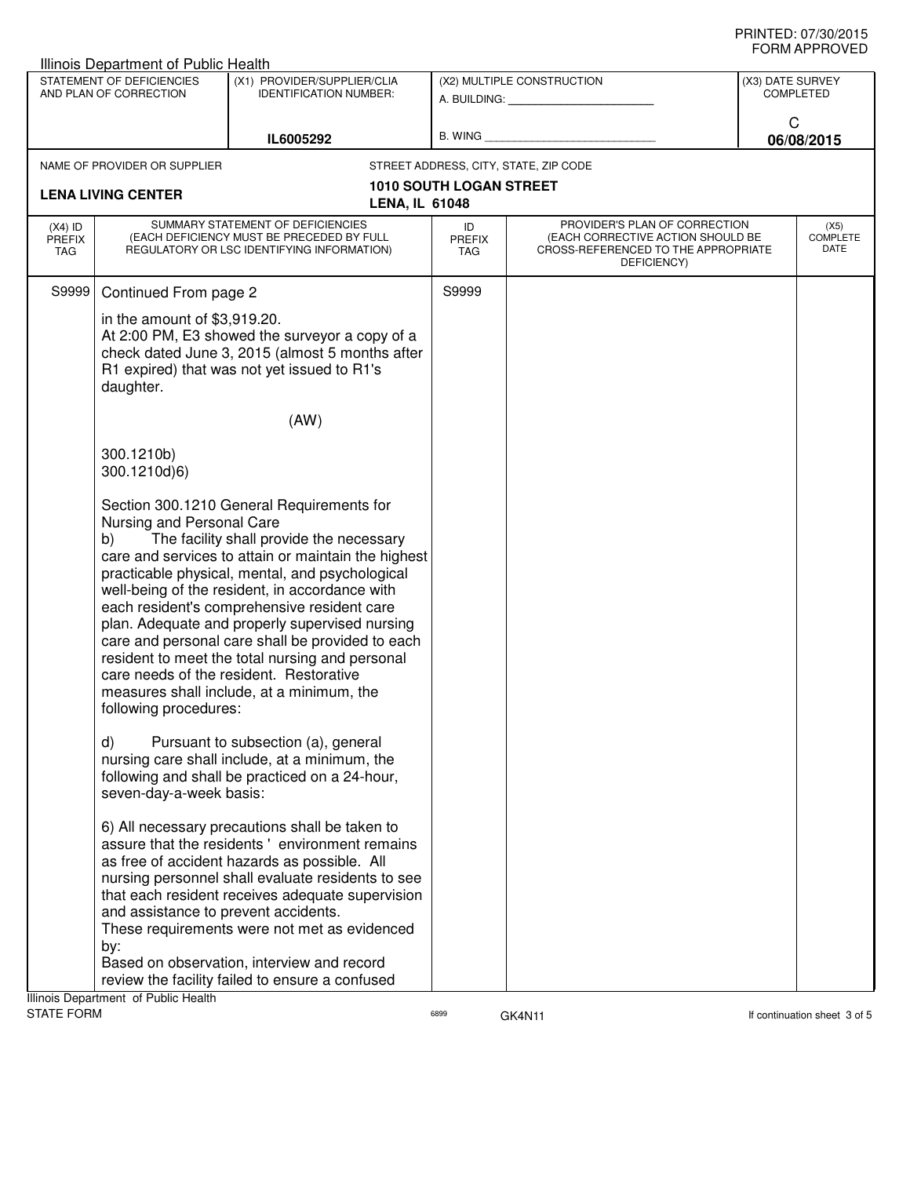| <b>Illinois Department of Public Health</b>                                                                                      |                                                                                                                                                                                                                                                                                                                                                                                                                                                                                                                                                                                                               |                                                                                                                                                                                                                                                                                                                                                         |                                                         |                                                                                                                          |                               |                          |  |
|----------------------------------------------------------------------------------------------------------------------------------|---------------------------------------------------------------------------------------------------------------------------------------------------------------------------------------------------------------------------------------------------------------------------------------------------------------------------------------------------------------------------------------------------------------------------------------------------------------------------------------------------------------------------------------------------------------------------------------------------------------|---------------------------------------------------------------------------------------------------------------------------------------------------------------------------------------------------------------------------------------------------------------------------------------------------------------------------------------------------------|---------------------------------------------------------|--------------------------------------------------------------------------------------------------------------------------|-------------------------------|--------------------------|--|
| STATEMENT OF DEFICIENCIES<br>(X1) PROVIDER/SUPPLIER/CLIA<br><b>IDENTIFICATION NUMBER:</b><br>AND PLAN OF CORRECTION<br>IL6005292 |                                                                                                                                                                                                                                                                                                                                                                                                                                                                                                                                                                                                               |                                                                                                                                                                                                                                                                                                                                                         | (X2) MULTIPLE CONSTRUCTION<br>A. BUILDING: A. BUILDING: |                                                                                                                          | (X3) DATE SURVEY<br>COMPLETED |                          |  |
|                                                                                                                                  |                                                                                                                                                                                                                                                                                                                                                                                                                                                                                                                                                                                                               | B. WING <b>Example 2008</b>                                                                                                                                                                                                                                                                                                                             |                                                         | C<br>06/08/2015                                                                                                          |                               |                          |  |
|                                                                                                                                  | NAME OF PROVIDER OR SUPPLIER                                                                                                                                                                                                                                                                                                                                                                                                                                                                                                                                                                                  |                                                                                                                                                                                                                                                                                                                                                         |                                                         | STREET ADDRESS, CITY, STATE, ZIP CODE                                                                                    |                               |                          |  |
|                                                                                                                                  | <b>LENA LIVING CENTER</b>                                                                                                                                                                                                                                                                                                                                                                                                                                                                                                                                                                                     | <b>LENA, IL 61048</b>                                                                                                                                                                                                                                                                                                                                   | 1010 SOUTH LOGAN STREET                                 |                                                                                                                          |                               |                          |  |
| $(X4)$ ID<br>PREFIX<br>TAG                                                                                                       |                                                                                                                                                                                                                                                                                                                                                                                                                                                                                                                                                                                                               | SUMMARY STATEMENT OF DEFICIENCIES<br>(EACH DEFICIENCY MUST BE PRECEDED BY FULL<br>REGULATORY OR LSC IDENTIFYING INFORMATION)                                                                                                                                                                                                                            | ID<br><b>PREFIX</b><br>TAG                              | PROVIDER'S PLAN OF CORRECTION<br>(EACH CORRECTIVE ACTION SHOULD BE<br>CROSS-REFERENCED TO THE APPROPRIATE<br>DEFICIENCY) |                               | (X5)<br>COMPLETE<br>DATE |  |
| S9999                                                                                                                            | Continued From page 2                                                                                                                                                                                                                                                                                                                                                                                                                                                                                                                                                                                         |                                                                                                                                                                                                                                                                                                                                                         | S9999                                                   |                                                                                                                          |                               |                          |  |
|                                                                                                                                  | in the amount of \$3,919.20.<br>daughter.                                                                                                                                                                                                                                                                                                                                                                                                                                                                                                                                                                     | At 2:00 PM, E3 showed the surveyor a copy of a<br>check dated June 3, 2015 (almost 5 months after<br>R1 expired) that was not yet issued to R1's                                                                                                                                                                                                        |                                                         |                                                                                                                          |                               |                          |  |
|                                                                                                                                  |                                                                                                                                                                                                                                                                                                                                                                                                                                                                                                                                                                                                               | (AW)                                                                                                                                                                                                                                                                                                                                                    |                                                         |                                                                                                                          |                               |                          |  |
|                                                                                                                                  | 300.1210b)<br>300.1210d)6)                                                                                                                                                                                                                                                                                                                                                                                                                                                                                                                                                                                    |                                                                                                                                                                                                                                                                                                                                                         |                                                         |                                                                                                                          |                               |                          |  |
|                                                                                                                                  | Section 300.1210 General Requirements for<br>Nursing and Personal Care<br>The facility shall provide the necessary<br>b)<br>care and services to attain or maintain the highest<br>practicable physical, mental, and psychological<br>well-being of the resident, in accordance with<br>each resident's comprehensive resident care<br>plan. Adequate and properly supervised nursing<br>care and personal care shall be provided to each<br>resident to meet the total nursing and personal<br>care needs of the resident. Restorative<br>measures shall include, at a minimum, the<br>following procedures: |                                                                                                                                                                                                                                                                                                                                                         |                                                         |                                                                                                                          |                               |                          |  |
|                                                                                                                                  | d)<br>seven-day-a-week basis:                                                                                                                                                                                                                                                                                                                                                                                                                                                                                                                                                                                 | Pursuant to subsection (a), general<br>nursing care shall include, at a minimum, the<br>following and shall be practiced on a 24-hour,                                                                                                                                                                                                                  |                                                         |                                                                                                                          |                               |                          |  |
|                                                                                                                                  | and assistance to prevent accidents.<br>by:                                                                                                                                                                                                                                                                                                                                                                                                                                                                                                                                                                   | 6) All necessary precautions shall be taken to<br>assure that the residents' environment remains<br>as free of accident hazards as possible. All<br>nursing personnel shall evaluate residents to see<br>that each resident receives adequate supervision<br>These requirements were not met as evidenced<br>Based on observation, interview and record |                                                         |                                                                                                                          |                               |                          |  |
|                                                                                                                                  | Illinois Department of Public Health                                                                                                                                                                                                                                                                                                                                                                                                                                                                                                                                                                          | review the facility failed to ensure a confused                                                                                                                                                                                                                                                                                                         |                                                         |                                                                                                                          |                               |                          |  |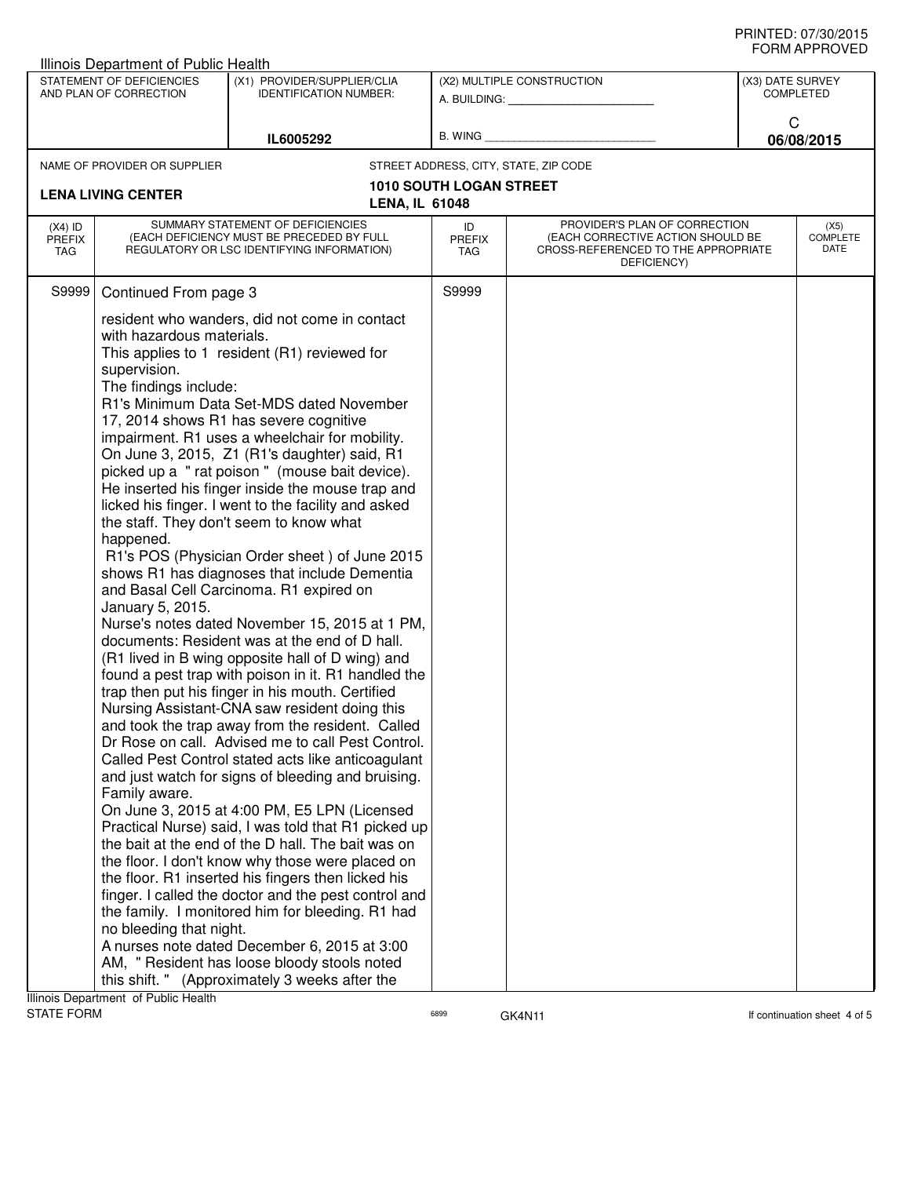| Illinois Department of Public Health                                                                                             |                                                                                                                                                                                                                                                                                                                                                                                                                                                                                                                                                                                                                                                                                                                                                                                                                                                                                                                                                                                                                                                                                                                                                                                                                                                                                                                                                                                                                                                                                                                                                                                                                                                                                                                                                                                                                                                                                                                                                            |                            |                                                                                                                                                        |                                       |  |                                 |  |
|----------------------------------------------------------------------------------------------------------------------------------|------------------------------------------------------------------------------------------------------------------------------------------------------------------------------------------------------------------------------------------------------------------------------------------------------------------------------------------------------------------------------------------------------------------------------------------------------------------------------------------------------------------------------------------------------------------------------------------------------------------------------------------------------------------------------------------------------------------------------------------------------------------------------------------------------------------------------------------------------------------------------------------------------------------------------------------------------------------------------------------------------------------------------------------------------------------------------------------------------------------------------------------------------------------------------------------------------------------------------------------------------------------------------------------------------------------------------------------------------------------------------------------------------------------------------------------------------------------------------------------------------------------------------------------------------------------------------------------------------------------------------------------------------------------------------------------------------------------------------------------------------------------------------------------------------------------------------------------------------------------------------------------------------------------------------------------------------------|----------------------------|--------------------------------------------------------------------------------------------------------------------------------------------------------|---------------------------------------|--|---------------------------------|--|
| STATEMENT OF DEFICIENCIES<br>(X1) PROVIDER/SUPPLIER/CLIA<br>AND PLAN OF CORRECTION<br><b>IDENTIFICATION NUMBER:</b><br>IL6005292 |                                                                                                                                                                                                                                                                                                                                                                                                                                                                                                                                                                                                                                                                                                                                                                                                                                                                                                                                                                                                                                                                                                                                                                                                                                                                                                                                                                                                                                                                                                                                                                                                                                                                                                                                                                                                                                                                                                                                                            | (X2) MULTIPLE CONSTRUCTION |                                                                                                                                                        | (X3) DATE SURVEY<br><b>COMPLETED</b>  |  |                                 |  |
|                                                                                                                                  |                                                                                                                                                                                                                                                                                                                                                                                                                                                                                                                                                                                                                                                                                                                                                                                                                                                                                                                                                                                                                                                                                                                                                                                                                                                                                                                                                                                                                                                                                                                                                                                                                                                                                                                                                                                                                                                                                                                                                            |                            | A. BUILDING: A. BUILDING:                                                                                                                              |                                       |  |                                 |  |
|                                                                                                                                  |                                                                                                                                                                                                                                                                                                                                                                                                                                                                                                                                                                                                                                                                                                                                                                                                                                                                                                                                                                                                                                                                                                                                                                                                                                                                                                                                                                                                                                                                                                                                                                                                                                                                                                                                                                                                                                                                                                                                                            | B. WING                    |                                                                                                                                                        | C<br>06/08/2015                       |  |                                 |  |
|                                                                                                                                  | NAME OF PROVIDER OR SUPPLIER                                                                                                                                                                                                                                                                                                                                                                                                                                                                                                                                                                                                                                                                                                                                                                                                                                                                                                                                                                                                                                                                                                                                                                                                                                                                                                                                                                                                                                                                                                                                                                                                                                                                                                                                                                                                                                                                                                                               |                            |                                                                                                                                                        | STREET ADDRESS, CITY, STATE, ZIP CODE |  |                                 |  |
|                                                                                                                                  |                                                                                                                                                                                                                                                                                                                                                                                                                                                                                                                                                                                                                                                                                                                                                                                                                                                                                                                                                                                                                                                                                                                                                                                                                                                                                                                                                                                                                                                                                                                                                                                                                                                                                                                                                                                                                                                                                                                                                            |                            | <b>1010 SOUTH LOGAN STREET</b>                                                                                                                         |                                       |  |                                 |  |
|                                                                                                                                  |                                                                                                                                                                                                                                                                                                                                                                                                                                                                                                                                                                                                                                                                                                                                                                                                                                                                                                                                                                                                                                                                                                                                                                                                                                                                                                                                                                                                                                                                                                                                                                                                                                                                                                                                                                                                                                                                                                                                                            |                            |                                                                                                                                                        |                                       |  |                                 |  |
| $(X4)$ ID<br><b>PREFIX</b><br><b>TAG</b>                                                                                         | SUMMARY STATEMENT OF DEFICIENCIES<br>(EACH DEFICIENCY MUST BE PRECEDED BY FULL<br>REGULATORY OR LSC IDENTIFYING INFORMATION)                                                                                                                                                                                                                                                                                                                                                                                                                                                                                                                                                                                                                                                                                                                                                                                                                                                                                                                                                                                                                                                                                                                                                                                                                                                                                                                                                                                                                                                                                                                                                                                                                                                                                                                                                                                                                               |                            | PROVIDER'S PLAN OF CORRECTION<br>ID<br>(EACH CORRECTIVE ACTION SHOULD BE<br><b>PREFIX</b><br>CROSS-REFERENCED TO THE APPROPRIATE<br>TAG<br>DEFICIENCY) |                                       |  | (X5)<br><b>COMPLETE</b><br>DATE |  |
| S9999                                                                                                                            |                                                                                                                                                                                                                                                                                                                                                                                                                                                                                                                                                                                                                                                                                                                                                                                                                                                                                                                                                                                                                                                                                                                                                                                                                                                                                                                                                                                                                                                                                                                                                                                                                                                                                                                                                                                                                                                                                                                                                            |                            | S9999                                                                                                                                                  |                                       |  |                                 |  |
|                                                                                                                                  | <b>LENA LIVING CENTER</b><br><b>LENA, IL 61048</b><br>Continued From page 3<br>resident who wanders, did not come in contact<br>with hazardous materials.<br>This applies to 1 resident (R1) reviewed for<br>supervision.<br>The findings include:<br>R1's Minimum Data Set-MDS dated November<br>17, 2014 shows R1 has severe cognitive<br>impairment. R1 uses a wheelchair for mobility.<br>On June 3, 2015, Z1 (R1's daughter) said, R1<br>picked up a "rat poison" (mouse bait device).<br>He inserted his finger inside the mouse trap and<br>licked his finger. I went to the facility and asked<br>the staff. They don't seem to know what<br>happened.<br>R1's POS (Physician Order sheet) of June 2015<br>shows R1 has diagnoses that include Dementia<br>and Basal Cell Carcinoma. R1 expired on<br>January 5, 2015.<br>Nurse's notes dated November 15, 2015 at 1 PM,<br>documents: Resident was at the end of D hall.<br>(R1 lived in B wing opposite hall of D wing) and<br>found a pest trap with poison in it. R1 handled the<br>trap then put his finger in his mouth. Certified<br>Nursing Assistant-CNA saw resident doing this<br>and took the trap away from the resident. Called<br>Dr Rose on call. Advised me to call Pest Control.<br>Called Pest Control stated acts like anticoagulant<br>and just watch for signs of bleeding and bruising.<br>Family aware.<br>On June 3, 2015 at 4:00 PM, E5 LPN (Licensed<br>Practical Nurse) said, I was told that R1 picked up<br>the bait at the end of the D hall. The bait was on<br>the floor. I don't know why those were placed on<br>the floor. R1 inserted his fingers then licked his<br>finger. I called the doctor and the pest control and<br>the family. I monitored him for bleeding. R1 had<br>no bleeding that night.<br>A nurses note dated December 6, 2015 at 3:00<br>AM, " Resident has loose bloody stools noted<br>(Approximately 3 weeks after the<br>this shift. " |                            |                                                                                                                                                        |                                       |  |                                 |  |